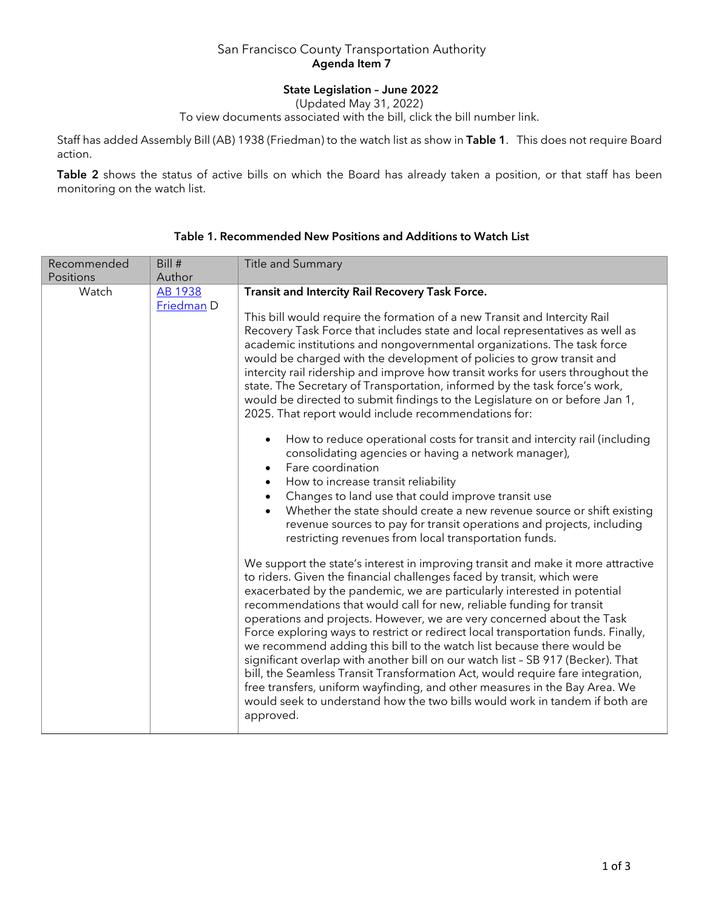## San Francisco County Transportation Authority Agenda Item 7

# State Legislation – June 2022

(Updated May 31, 2022)

To view documents associated with the bill, click the bill number link.

Staff has added Assembly Bill (AB) 1938 (Friedman) to the watch list as show in Table 1. This does not require Board action.

Table 2 shows the status of active bills on which the Board has already taken a position, or that staff has been monitoring on the watch list.

| Recommended | Bill #                       | Title and Summary                                                                                                                                                                                                                                                                                                                                                                                                                                                                                                                                                                                                                                                                                                                                                                                                                               |
|-------------|------------------------------|-------------------------------------------------------------------------------------------------------------------------------------------------------------------------------------------------------------------------------------------------------------------------------------------------------------------------------------------------------------------------------------------------------------------------------------------------------------------------------------------------------------------------------------------------------------------------------------------------------------------------------------------------------------------------------------------------------------------------------------------------------------------------------------------------------------------------------------------------|
| Positions   | Author                       |                                                                                                                                                                                                                                                                                                                                                                                                                                                                                                                                                                                                                                                                                                                                                                                                                                                 |
| Watch       | <b>AB 1938</b><br>Friedman D | Transit and Intercity Rail Recovery Task Force.<br>This bill would require the formation of a new Transit and Intercity Rail<br>Recovery Task Force that includes state and local representatives as well as<br>academic institutions and nongovernmental organizations. The task force<br>would be charged with the development of policies to grow transit and<br>intercity rail ridership and improve how transit works for users throughout the<br>state. The Secretary of Transportation, informed by the task force's work,<br>would be directed to submit findings to the Legislature on or before Jan 1,<br>2025. That report would include recommendations for:<br>How to reduce operational costs for transit and intercity rail (including<br>$\bullet$<br>consolidating agencies or having a network manager),<br>Fare coordination |
|             |                              | How to increase transit reliability<br>Changes to land use that could improve transit use<br>Whether the state should create a new revenue source or shift existing<br>revenue sources to pay for transit operations and projects, including<br>restricting revenues from local transportation funds.<br>We support the state's interest in improving transit and make it more attractive<br>to riders. Given the financial challenges faced by transit, which were<br>exacerbated by the pandemic, we are particularly interested in potential<br>recommendations that would call for new, reliable funding for transit<br>operations and projects. However, we are very concerned about the Task                                                                                                                                              |
|             |                              | Force exploring ways to restrict or redirect local transportation funds. Finally,<br>we recommend adding this bill to the watch list because there would be<br>significant overlap with another bill on our watch list - SB 917 (Becker). That<br>bill, the Seamless Transit Transformation Act, would require fare integration,<br>free transfers, uniform wayfinding, and other measures in the Bay Area. We<br>would seek to understand how the two bills would work in tandem if both are<br>approved.                                                                                                                                                                                                                                                                                                                                      |

## Table 1. Recommended New Positions and Additions to Watch List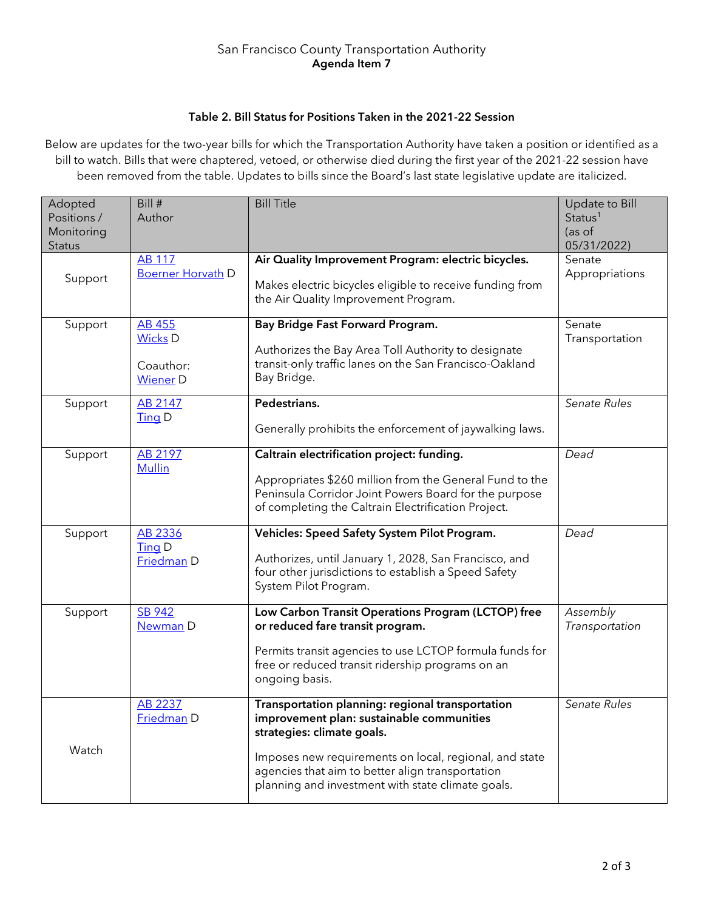#### San Francisco County Transportation Authority Agenda Item 7

## Table 2. Bill Status for Positions Taken in the 2021-22 Session

Below are updates for the two-year bills for which the Transportation Authority have taken a position or identified as a bill to watch. Bills that were chaptered, vetoed, or otherwise died during the first year of the 2021-22 session have been removed from the table. Updates to bills since the Board's last state legislative update are italicized.

| Adopted<br>Positions /<br>Monitoring<br><b>Status</b> | Bill #<br>Author                                                | <b>Bill Title</b>                                                                                                                                                                                                                                                                              | Update to Bill<br>Status <sup>1</sup><br>(as of<br>05/31/2022) |
|-------------------------------------------------------|-----------------------------------------------------------------|------------------------------------------------------------------------------------------------------------------------------------------------------------------------------------------------------------------------------------------------------------------------------------------------|----------------------------------------------------------------|
| Support                                               | <b>AB 117</b><br><b>Boerner Horvath D</b>                       | Air Quality Improvement Program: electric bicycles.<br>Makes electric bicycles eligible to receive funding from<br>the Air Quality Improvement Program.                                                                                                                                        | Senate<br>Appropriations                                       |
| Support                                               | <b>AB 455</b><br><b>Wicks D</b><br>Coauthor:<br><b>Wiener</b> D | Bay Bridge Fast Forward Program.<br>Authorizes the Bay Area Toll Authority to designate<br>transit-only traffic lanes on the San Francisco-Oakland<br>Bay Bridge.                                                                                                                              | Senate<br>Transportation                                       |
| Support                                               | AB 2147<br>$\overline{\text{ling}}$ D                           | Pedestrians.<br>Generally prohibits the enforcement of jaywalking laws.                                                                                                                                                                                                                        | Senate Rules                                                   |
| Support                                               | AB 2197<br><b>Mullin</b>                                        | Caltrain electrification project: funding.<br>Appropriates \$260 million from the General Fund to the<br>Peninsula Corridor Joint Powers Board for the purpose<br>of completing the Caltrain Electrification Project.                                                                          | Dead                                                           |
| Support                                               | AB 2336<br>Ting D<br>Friedman D                                 | Vehicles: Speed Safety System Pilot Program.<br>Authorizes, until January 1, 2028, San Francisco, and<br>four other jurisdictions to establish a Speed Safety<br>System Pilot Program.                                                                                                         | Dead                                                           |
| Support                                               | <b>SB 942</b><br>Newman D                                       | Low Carbon Transit Operations Program (LCTOP) free<br>or reduced fare transit program.<br>Permits transit agencies to use LCTOP formula funds for<br>free or reduced transit ridership programs on an<br>ongoing basis.                                                                        | Assembly<br>Transportation                                     |
| Watch                                                 | <b>AB 2237</b><br>Friedman D                                    | Transportation planning: regional transportation<br>improvement plan: sustainable communities<br>strategies: climate goals.<br>Imposes new requirements on local, regional, and state<br>agencies that aim to better align transportation<br>planning and investment with state climate goals. | Senate Rules                                                   |